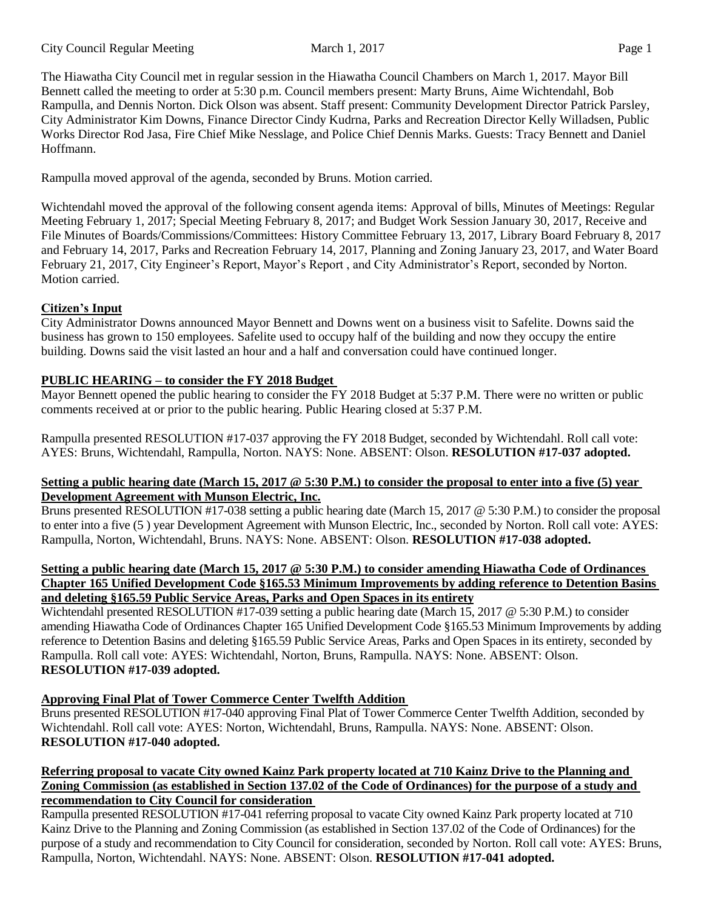The Hiawatha City Council met in regular session in the Hiawatha Council Chambers on March 1, 2017. Mayor Bill Bennett called the meeting to order at 5:30 p.m. Council members present: Marty Bruns, Aime Wichtendahl, Bob Rampulla, and Dennis Norton. Dick Olson was absent. Staff present: Community Development Director Patrick Parsley, City Administrator Kim Downs, Finance Director Cindy Kudrna, Parks and Recreation Director Kelly Willadsen, Public Works Director Rod Jasa, Fire Chief Mike Nesslage, and Police Chief Dennis Marks. Guests: Tracy Bennett and Daniel Hoffmann.

Rampulla moved approval of the agenda, seconded by Bruns. Motion carried.

Wichtendahl moved the approval of the following consent agenda items: Approval of bills, Minutes of Meetings: Regular Meeting February 1, 2017; Special Meeting February 8, 2017; and Budget Work Session January 30, 2017, Receive and File Minutes of Boards/Commissions/Committees: History Committee February 13, 2017, Library Board February 8, 2017 and February 14, 2017, Parks and Recreation February 14, 2017, Planning and Zoning January 23, 2017, and Water Board February 21, 2017, City Engineer's Report, Mayor's Report , and City Administrator's Report, seconded by Norton. Motion carried.

# **Citizen's Input**

City Administrator Downs announced Mayor Bennett and Downs went on a business visit to Safelite. Downs said the business has grown to 150 employees. Safelite used to occupy half of the building and now they occupy the entire building. Downs said the visit lasted an hour and a half and conversation could have continued longer.

# **PUBLIC HEARING – to consider the FY 2018 Budget**

Mayor Bennett opened the public hearing to consider the FY 2018 Budget at 5:37 P.M. There were no written or public comments received at or prior to the public hearing. Public Hearing closed at 5:37 P.M.

Rampulla presented RESOLUTION #17-037 approving the FY 2018 Budget, seconded by Wichtendahl. Roll call vote: AYES: Bruns, Wichtendahl, Rampulla, Norton. NAYS: None. ABSENT: Olson. **RESOLUTION #17-037 adopted.**

## **Setting a public hearing date (March 15, 2017 @ 5:30 P.M.) to consider the proposal to enter into a five (5) year Development Agreement with Munson Electric, Inc.**

Bruns presented RESOLUTION #17-038 setting a public hearing date (March 15, 2017 @ 5:30 P.M.) to consider the proposal to enter into a five (5 ) year Development Agreement with Munson Electric, Inc., seconded by Norton. Roll call vote: AYES: Rampulla, Norton, Wichtendahl, Bruns. NAYS: None. ABSENT: Olson. **RESOLUTION #17-038 adopted.**

#### Setting a public hearing date (March 15, 2017 @ 5:30 P.M.) to consider amending Hiawatha Code of Ordinances **Chapter 165 Unified Development Code §165.53 Minimum Improvements by adding reference to Detention Basins and deleting §165.59 Public Service Areas, Parks and Open Spaces in its entirety**

Wichtendahl presented RESOLUTION #17-039 setting a public hearing date (March 15, 2017 @ 5:30 P.M.) to consider amending Hiawatha Code of Ordinances Chapter 165 Unified Development Code §165.53 Minimum Improvements by adding reference to Detention Basins and deleting §165.59 Public Service Areas, Parks and Open Spaces in its entirety, seconded by Rampulla. Roll call vote: AYES: Wichtendahl, Norton, Bruns, Rampulla. NAYS: None. ABSENT: Olson. **RESOLUTION #17-039 adopted.**

# **Approving Final Plat of Tower Commerce Center Twelfth Addition**

Bruns presented RESOLUTION #17-040 approving Final Plat of Tower Commerce Center Twelfth Addition, seconded by Wichtendahl. Roll call vote: AYES: Norton, Wichtendahl, Bruns, Rampulla. NAYS: None. ABSENT: Olson. **RESOLUTION #17-040 adopted.**

## Referring proposal to vacate City owned Kainz Park property located at 710 Kainz Drive to the Planning and Zoning Commission (as established in Section 137.02 of the Code of Ordinances) for the purpose of a study and **recommendation to City Council for consideration**

Rampulla presented RESOLUTION #17-041 referring proposal to vacate City owned Kainz Park property located at 710 Kainz Drive to the Planning and Zoning Commission (as established in Section 137.02 of the Code of Ordinances) for the purpose of a study and recommendation to City Council for consideration, seconded by Norton. Roll call vote: AYES: Bruns, Rampulla, Norton, Wichtendahl. NAYS: None. ABSENT: Olson. **RESOLUTION #17-041 adopted.**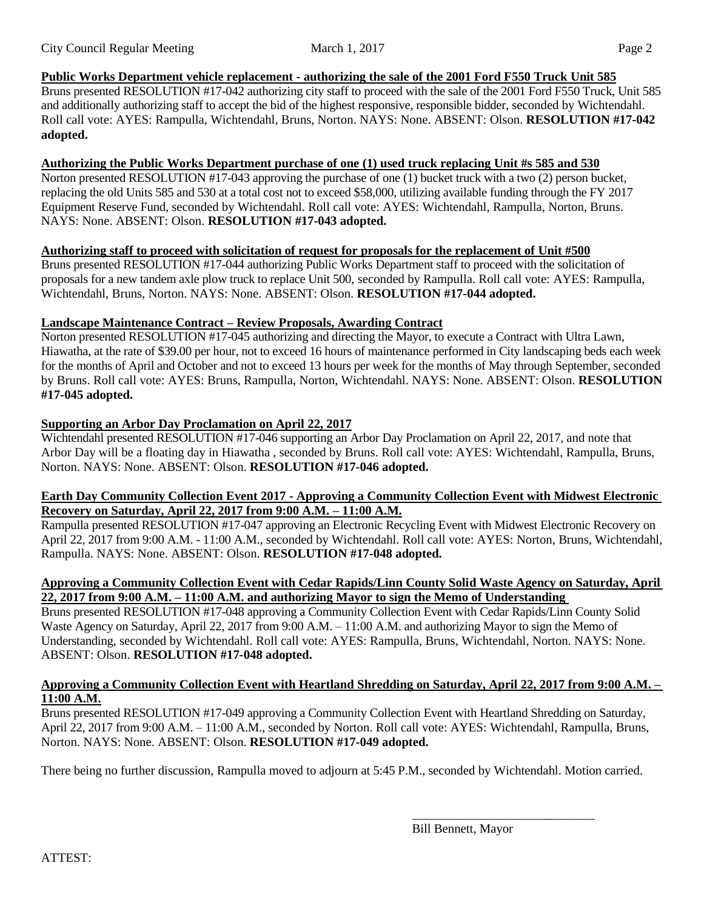## **Public Works Department vehicle replacement - authorizing the sale of the 2001 Ford F550 Truck Unit 585**

Bruns presented RESOLUTION #17-042 authorizing city staff to proceed with the sale of the 2001 Ford F550 Truck, Unit 585 and additionally authorizing staff to accept the bid of the highest responsive, responsible bidder, seconded by Wichtendahl. Roll call vote: AYES: Rampulla, Wichtendahl, Bruns, Norton. NAYS: None. ABSENT: Olson. **RESOLUTION #17-042 adopted.**

## **Authorizing the Public Works Department purchase of one (1) used truck replacing Unit #s 585 and 530**

Norton presented RESOLUTION #17-043 approving the purchase of one (1) bucket truck with a two (2) person bucket, replacing the old Units 585 and 530 at a total cost not to exceed \$58,000, utilizing available funding through the FY 2017 Equipment Reserve Fund, seconded by Wichtendahl. Roll call vote: AYES: Wichtendahl, Rampulla, Norton, Bruns. NAYS: None. ABSENT: Olson. **RESOLUTION #17-043 adopted.**

## **Authorizing staff to proceed with solicitation of request for proposals for the replacement of Unit #500**

Bruns presented RESOLUTION #17-044 authorizing Public Works Department staff to proceed with the solicitation of proposals for a new tandem axle plow truck to replace Unit 500, seconded by Rampulla. Roll call vote: AYES: Rampulla, Wichtendahl, Bruns, Norton. NAYS: None. ABSENT: Olson. **RESOLUTION #17-044 adopted.**

## **Landscape Maintenance Contract – Review Proposals, Awarding Contract**

Norton presented RESOLUTION #17-045 authorizing and directing the Mayor, to execute a Contract with Ultra Lawn, Hiawatha, at the rate of \$39.00 per hour, not to exceed 16 hours of maintenance performed in City landscaping beds each week for the months of April and October and not to exceed 13 hours per week for the months of May through September, seconded by Bruns. Roll call vote: AYES: Bruns, Rampulla, Norton, Wichtendahl. NAYS: None. ABSENT: Olson. **RESOLUTION #17-045 adopted.**

## **Supporting an Arbor Day Proclamation on April 22, 2017**

Wichtendahl presented RESOLUTION #17-046 supporting an Arbor Day Proclamation on April 22, 2017, and note that Arbor Day will be a floating day in Hiawatha , seconded by Bruns. Roll call vote: AYES: Wichtendahl, Rampulla, Bruns, Norton. NAYS: None. ABSENT: Olson. **RESOLUTION #17-046 adopted.**

## **Earth Day Community Collection Event 2017 - Approving a Community Collection Event with Midwest Electronic Recovery on Saturday, April 22, 2017 from 9:00 A.M. – 11:00 A.M.**

Rampulla presented RESOLUTION #17-047 approving an Electronic Recycling Event with Midwest Electronic Recovery on April 22, 2017 from 9:00 A.M. - 11:00 A.M., seconded by Wichtendahl. Roll call vote: AYES: Norton, Bruns, Wichtendahl, Rampulla. NAYS: None. ABSENT: Olson. **RESOLUTION #17-048 adopted.**

## **Approving a Community Collection Event with Cedar Rapids/Linn County Solid Waste Agency on Saturday, April 22, 2017 from 9:00 A.M. – 11:00 A.M. and authorizing Mayor to sign the Memo of Understanding**

Bruns presented RESOLUTION #17-048 approving a Community Collection Event with Cedar Rapids/Linn County Solid Waste Agency on Saturday, April 22, 2017 from 9:00 A.M. – 11:00 A.M. and authorizing Mayor to sign the Memo of Understanding, seconded by Wichtendahl. Roll call vote: AYES: Rampulla, Bruns, Wichtendahl, Norton. NAYS: None. ABSENT: Olson. **RESOLUTION #17-048 adopted.**

## Approving a Community Collection Event with Heartland Shredding on Saturday, April 22, 2017 from 9:00 A.M. -**11:00 A.M.**

Bruns presented RESOLUTION #17-049 approving a Community Collection Event with Heartland Shredding on Saturday, April 22, 2017 from 9:00 A.M. – 11:00 A.M., seconded by Norton. Roll call vote: AYES: Wichtendahl, Rampulla, Bruns, Norton. NAYS: None. ABSENT: Olson. **RESOLUTION #17-049 adopted.**

There being no further discussion, Rampulla moved to adjourn at 5:45 P.M., seconded by Wichtendahl. Motion carried.

Bill Bennett, Mayor

\_\_\_\_\_\_\_\_\_\_\_\_\_\_\_\_\_\_\_\_\_\_\_\_\_\_\_\_\_